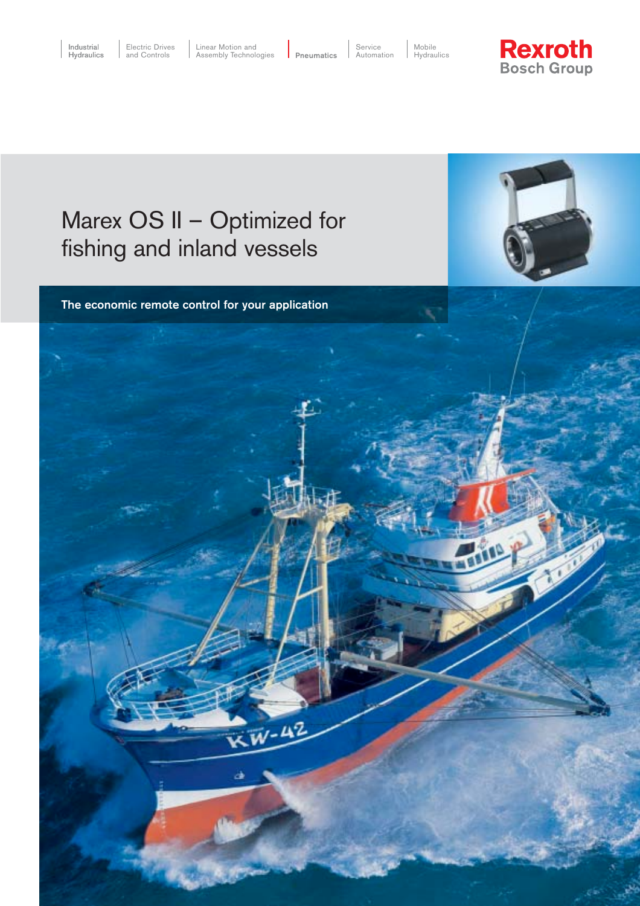Service Automation

Mobile Hydraulics

# **Rexroth**<br>Bosch Group

# Marex OS II – Optimized for fishing and inland vessels



The economic remote control for your application

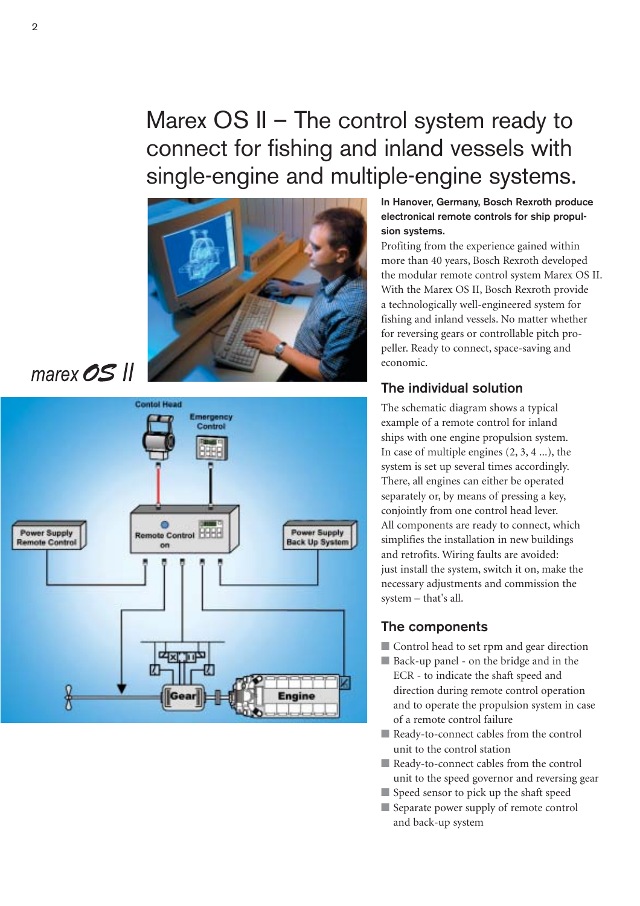# Marex OS II – The control system ready to connect for fishing and inland vessels with single-engine and multiple-engine systems.



marex  $OS$  II



#### In Hanover, Germany, Bosch Rexroth produce electronical remote controls for ship propulsion systems.

Profiting from the experience gained within more than 40 years, Bosch Rexroth developed the modular remote control system Marex OS II. With the Marex OS II, Bosch Rexroth provide a technologically well-engineered system for fishing and inland vessels. No matter whether for reversing gears or controllable pitch propeller. Ready to connect, space-saving and economic.

## The individual solution

The schematic diagram shows a typical example of a remote control for inland ships with one engine propulsion system. In case of multiple engines (2, 3, 4 ...), the system is set up several times accordingly. There, all engines can either be operated separately or, by means of pressing a key, conjointly from one control head lever. All components are ready to connect, which simplifies the installation in new buildings and retrofits. Wiring faults are avoided: just install the system, switch it on, make the necessary adjustments and commission the system – that's all.

### The components

- Control head to set rpm and gear direction
- Back-up panel on the bridge and in the ECR - to indicate the shaft speed and direction during remote control operation and to operate the propulsion system in case of a remote control failure
- Ready-to-connect cables from the control unit to the control station
- Ready-to-connect cables from the control unit to the speed governor and reversing gear
- Speed sensor to pick up the shaft speed
- Separate power supply of remote control and back-up system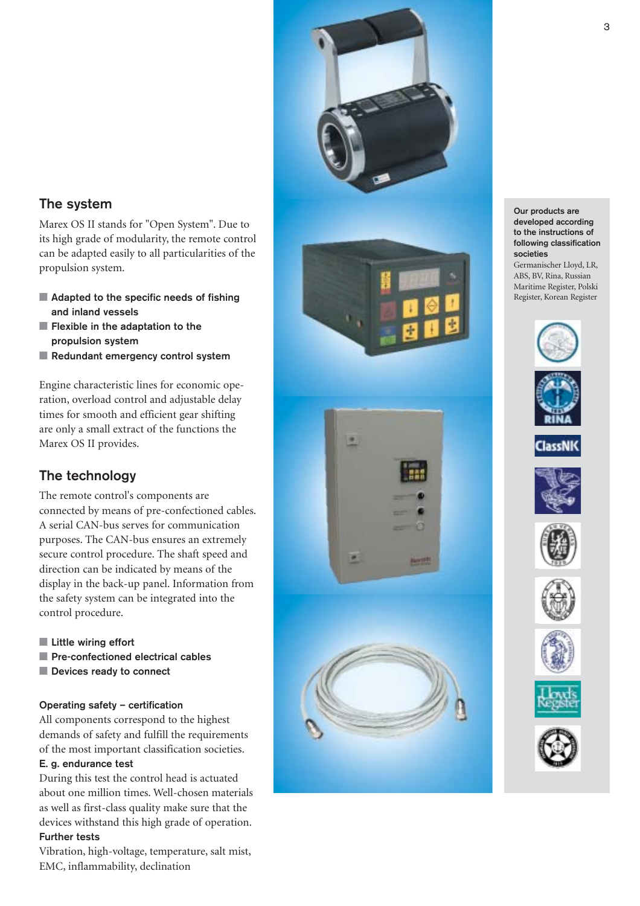

### The system

Marex OS II stands for "Open System". Due to its high grade of modularity, the remote control can be adapted easily to all particularities of the propulsion system.

- Adapted to the specific needs of fishing and inland vessels
- Flexible in the adaptation to the propulsion system
- Redundant emergency control system

Engine characteristic lines for economic operation, overload control and adjustable delay times for smooth and efficient gear shifting are only a small extract of the functions the Marex OS II provides.

# The technology

The remote control's components are connected by means of pre-confectioned cables. A serial CAN-bus serves for communication purposes. The CAN-bus ensures an extremely secure control procedure. The shaft speed and direction can be indicated by means of the display in the back-up panel. Information from the safety system can be integrated into the control procedure.

- Little wiring effort
- Pre-confectioned electrical cables
- Devices ready to connect

#### Operating safety – certification

All components correspond to the highest demands of safety and fulfill the requirements of the most important classification societies.

#### E. g. endurance test

During this test the control head is actuated about one million times. Well-chosen materials as well as first-class quality make sure that the devices withstand this high grade of operation. Further tests

#### Vibration, high-voltage, temperature, salt mist, EMC, inflammability, declination

Our products are developed according to the instructions of following classification societies Germanischer Lloyd, LR, ABS, BV, Rina, Russian Maritime Register, Polski Register, Korean Register